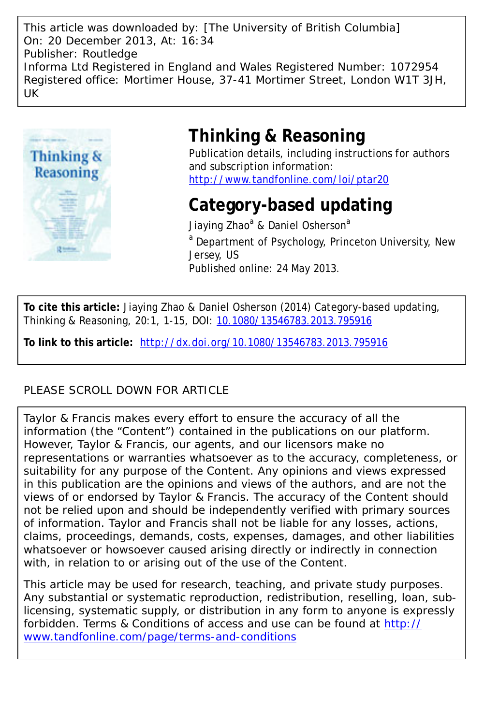This article was downloaded by: [The University of British Columbia] On: 20 December 2013, At: 16:34 Publisher: Routledge Informa Ltd Registered in England and Wales Registered Number: 1072954 Registered office: Mortimer House, 37-41 Mortimer Street, London W1T 3JH, UK



# **Thinking & Reasoning**

Publication details, including instructions for authors and subscription information: <http://www.tandfonline.com/loi/ptar20>

# **Category-based updating**

Jiaying Zhao<sup>a</sup> & Daniel Osherson<sup>a</sup> <sup>a</sup> Department of Psychology, Princeton University, New Jersey, US Published online: 24 May 2013.

**To cite this article:** Jiaying Zhao & Daniel Osherson (2014) Category-based updating, Thinking & Reasoning, 20:1, 1-15, DOI: [10.1080/13546783.2013.795916](http://www.tandfonline.com/action/showCitFormats?doi=10.1080/13546783.2013.795916)

**To link to this article:** <http://dx.doi.org/10.1080/13546783.2013.795916>

## PLEASE SCROLL DOWN FOR ARTICLE

Taylor & Francis makes every effort to ensure the accuracy of all the information (the "Content") contained in the publications on our platform. However, Taylor & Francis, our agents, and our licensors make no representations or warranties whatsoever as to the accuracy, completeness, or suitability for any purpose of the Content. Any opinions and views expressed in this publication are the opinions and views of the authors, and are not the views of or endorsed by Taylor & Francis. The accuracy of the Content should not be relied upon and should be independently verified with primary sources of information. Taylor and Francis shall not be liable for any losses, actions, claims, proceedings, demands, costs, expenses, damages, and other liabilities whatsoever or howsoever caused arising directly or indirectly in connection with, in relation to or arising out of the use of the Content.

This article may be used for research, teaching, and private study purposes. Any substantial or systematic reproduction, redistribution, reselling, loan, sublicensing, systematic supply, or distribution in any form to anyone is expressly forbidden. Terms & Conditions of access and use can be found at [http://](http://www.tandfonline.com/page/terms-and-conditions) [www.tandfonline.com/page/terms-and-conditions](http://www.tandfonline.com/page/terms-and-conditions)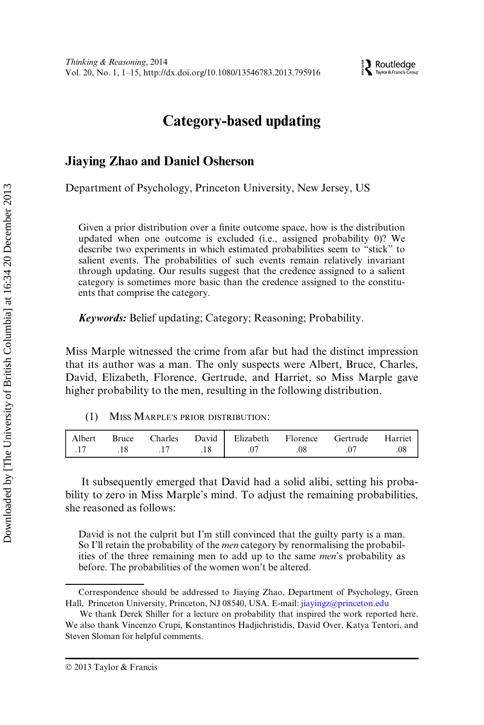**EX** Routledge

# Category-based updating

## Jiaying Zhao and Daniel Osherson

Department of Psychology, Princeton University, New Jersey, US

Given a prior distribution over a finite outcome space, how is the distribution updated when one outcome is excluded (i.e., assigned probability 0)? We describe two experiments in which estimated probabilities seem to "stick" to salient events. The probabilities of such events remain relatively invariant through updating. Our results suggest that the credence assigned to a salient category is sometimes more basic than the credence assigned to the constituents that comprise the category.

Keywords: Belief updating; Category; Reasoning; Probability.

Miss Marple witnessed the crime from afar but had the distinct impression that its author was a man. The only suspects were Albert, Bruce, Charles, David, Elizabeth, Florence, Gertrude, and Harriet, so Miss Marple gave higher probability to the men, resulting in the following distribution.

(1) MISS MARPLE'S PRIOR DISTRIBUTION:

| Albert | Bruce |  | Charles David Elizabeth Florence |     | Gertrude | Harriet |
|--------|-------|--|----------------------------------|-----|----------|---------|
|        |       |  | .07                              | .08 |          |         |

It subsequently emerged that David had a solid alibi, setting his probability to zero in Miss Marple's mind. To adjust the remaining probabilities, she reasoned as follows:

David is not the culprit but I'm still convinced that the guilty party is a man. So I'll retain the probability of the *men* category by renormalising the probabilities of the three remaining men to add up to the same men's probability as before. The probabilities of the women won't be altered.

Correspondence should be addressed to Jiaying Zhao, Department of Psychology, Green Hall, Princeton University, Princeton, NJ 08540, USA. E-mail: [jiayingz@princeton.edu](mailto:)

We thank Derek Shiller for a lecture on probability that inspired the work reported here. We also thank Vincenzo Crupi, Konstantinos Hadjichristidis, David Over, Katya Tentori, and Steven Sloman for helpful comments.

2013 Taylor & Francis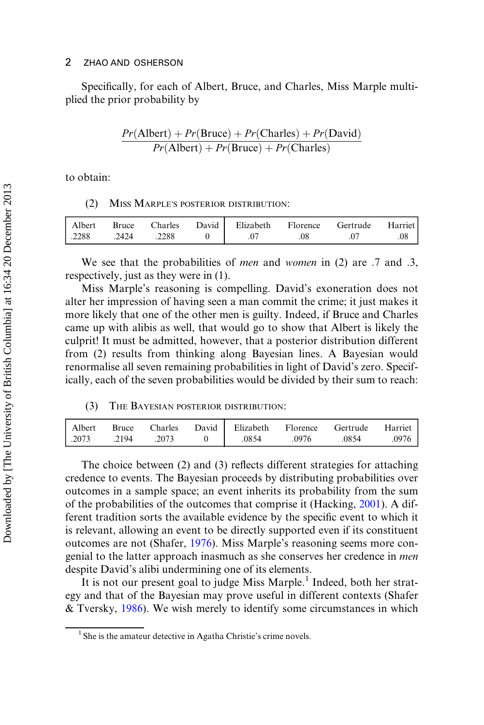Specifically, for each of Albert, Bruce, and Charles, Miss Marple multiplied the prior probability by

$$
\frac{Pr(\text{Albert}) + Pr(\text{Bruce}) + Pr(\text{Charles}) + Pr(\text{David})}{Pr(\text{Albert}) + Pr(\text{Bruce}) + Pr(\text{Charles})}
$$

to obtain:

#### (2) MISS MARPLE'S POSTERIOR DISTRIBUTION:

| Albert           | Bruce |       | Charles David Elizabeth Florence | Gertrude Harriet |  |
|------------------|-------|-------|----------------------------------|------------------|--|
| $\frac{1}{2288}$ | .2424 | .2288 | .07                              |                  |  |

We see that the probabilities of *men* and *women* in (2) are  $.7$  and  $.3$ , respectively, just as they were in (1).

Miss Marple's reasoning is compelling. David's exoneration does not alter her impression of having seen a man commit the crime; it just makes it more likely that one of the other men is guilty. Indeed, if Bruce and Charles came up with alibis as well, that would go to show that Albert is likely the culprit! It must be admitted, however, that a posterior distribution different from (2) results from thinking along Bayesian lines. A Bayesian would renormalise all seven remaining probabilities in light of David's zero. Specifically, each of the seven probabilities would be divided by their sum to reach:

#### (3) THE BAYESIAN POSTERIOR DISTRIBUTION:

|  |  | Albert Bruce Charles David Elizabeth Florence Gertrude Harriet |  |       |
|--|--|----------------------------------------------------------------|--|-------|
|  |  | .2073 .2194 .2073 0 .0854 .0976 .0854                          |  | .0976 |

The choice between (2) and (3) reflects different strategies for attaching credence to events. The Bayesian proceeds by distributing probabilities over outcomes in a sample space; an event inherits its probability from the sum of the probabilities of the outcomes that comprise it (Hacking, [2001](#page-14-0)). A different tradition sorts the available evidence by the specific event to which it is relevant, allowing an event to be directly supported even if its constituent outcomes are not (Shafer, [1976\)](#page-14-1). Miss Marple's reasoning seems more congenial to the latter approach inasmuch as she conserves her credence in men despite David's alibi undermining one of its elements.

It is not our present goal to judge Miss Marple.<sup>1</sup> Indeed, both her strategy and that of the Bayesian may prove useful in different contexts (Shafer & Tversky, [1986\)](#page-14-2). We wish merely to identify some circumstances in which

<sup>&</sup>lt;sup>1</sup> She is the amateur detective in Agatha Christie's crime novels.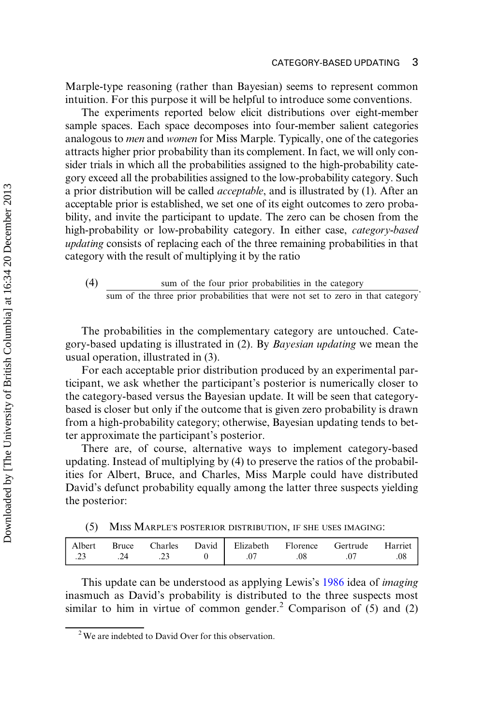Marple-type reasoning (rather than Bayesian) seems to represent common intuition. For this purpose it will be helpful to introduce some conventions.

The experiments reported below elicit distributions over eight-member sample spaces. Each space decomposes into four-member salient categories analogous to men and women for Miss Marple. Typically, one of the categories attracts higher prior probability than its complement. In fact, we will only consider trials in which all the probabilities assigned to the high-probability category exceed all the probabilities assigned to the low-probability category. Such a prior distribution will be called acceptable, and is illustrated by (1). After an acceptable prior is established, we set one of its eight outcomes to zero probability, and invite the participant to update. The zero can be chosen from the high-probability or low-probability category. In either case, category-based updating consists of replacing each of the three remaining probabilities in that category with the result of multiplying it by the ratio

(4) sum of the four prior probabilities in the category sum of the three prior probabilities that were not set to zero in that category

The probabilities in the complementary category are untouched. Category-based updating is illustrated in (2). By Bayesian updating we mean the usual operation, illustrated in (3).

For each acceptable prior distribution produced by an experimental participant, we ask whether the participant's posterior is numerically closer to the category-based versus the Bayesian update. It will be seen that categorybased is closer but only if the outcome that is given zero probability is drawn from a high-probability category; otherwise, Bayesian updating tends to better approximate the participant's posterior.

There are, of course, alternative ways to implement category-based updating. Instead of multiplying by (4) to preserve the ratios of the probabilities for Albert, Bruce, and Charles, Miss Marple could have distributed David's defunct probability equally among the latter three suspects yielding the posterior:

|  | (5) MISS MARPLE'S POSTERIOR DISTRIBUTION, IF SHE USES IMAGING: |  |  |  |  |
|--|----------------------------------------------------------------|--|--|--|--|
|--|----------------------------------------------------------------|--|--|--|--|

| Albert | Bruce | Charles | David Elizabeth Florence |    | Gertrude | Harriet |
|--------|-------|---------|--------------------------|----|----------|---------|
| ن ک    |       |         |                          | 08 |          | 08      |

This update can be understood as applying Lewis's [1986](#page-14-3) idea of imaging inasmuch as David's probability is distributed to the three suspects most similar to him in virtue of common gender.<sup>2</sup> Comparison of  $(5)$  and  $(2)$ 

<sup>&</sup>lt;sup>2</sup> We are indebted to David Over for this observation.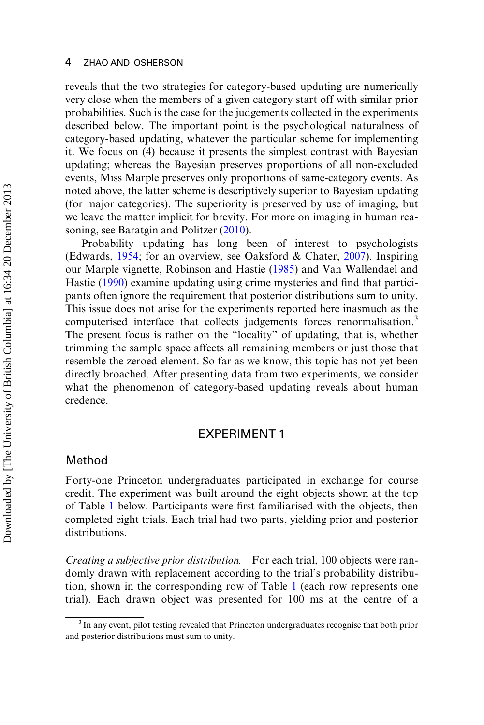reveals that the two strategies for category-based updating are numerically very close when the members of a given category start off with similar prior probabilities. Such is the case for the judgements collected in the experiments described below. The important point is the psychological naturalness of category-based updating, whatever the particular scheme for implementing it. We focus on (4) because it presents the simplest contrast with Bayesian updating; whereas the Bayesian preserves proportions of all non-excluded events, Miss Marple preserves only proportions of same-category events. As noted above, the latter scheme is descriptively superior to Bayesian updating (for major categories). The superiority is preserved by use of imaging, but we leave the matter implicit for brevity. For more on imaging in human rea-soning, see Baratgin and Politzer [\(2010](#page-14-4)).

Probability updating has long been of interest to psychologists (Edwards, [1954;](#page-14-5) for an overview, see Oaksford & Chater, [2007](#page-14-6)). Inspiring our Marple vignette, Robinson and Hastie [\(1985](#page-14-7)) and Van Wallendael and Hastie [\(1990](#page-15-0)) examine updating using crime mysteries and find that participants often ignore the requirement that posterior distributions sum to unity. This issue does not arise for the experiments reported here inasmuch as the computerised interface that collects judgements forces renormalisation.<sup>3</sup> The present focus is rather on the "locality" of updating, that is, whether trimming the sample space affects all remaining members or just those that resemble the zeroed element. So far as we know, this topic has not yet been directly broached. After presenting data from two experiments, we consider what the phenomenon of category-based updating reveals about human credence.

## EXPERIMENT 1

## Method

Forty-one Princeton undergraduates participated in exchange for course credit. The experiment was built around the eight objects shown at the top of Table [1](#page-5-0) below. Participants were first familiarised with the objects, then completed eight trials. Each trial had two parts, yielding prior and posterior distributions.

Creating a subjective prior distribution. For each trial, 100 objects were randomly drawn with replacement according to the trial's probability distribution, shown in the corresponding row of Table [1](#page-5-0) (each row represents one trial). Each drawn object was presented for 100 ms at the centre of a

<sup>&</sup>lt;sup>3</sup> In any event, pilot testing revealed that Princeton undergraduates recognise that both prior and posterior distributions must sum to unity.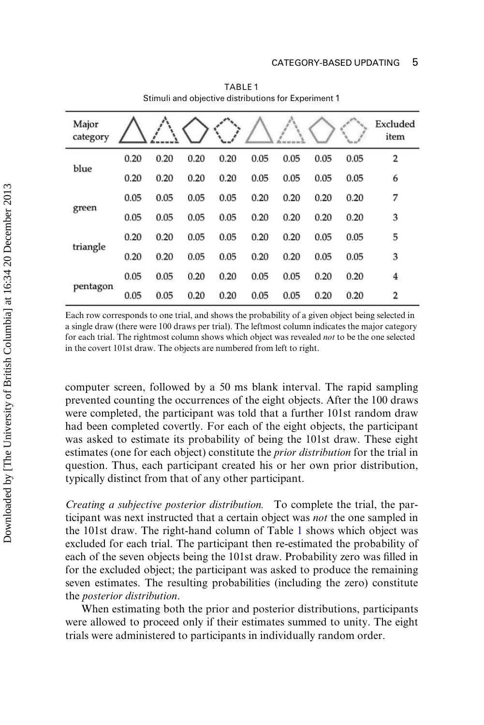<span id="page-5-0"></span>

| Major<br>category |      |      |      |      |      |      |      |      | Excluded<br>item        |
|-------------------|------|------|------|------|------|------|------|------|-------------------------|
|                   | 0.20 | 0.20 | 0.20 | 0.20 | 0.05 | 0.05 | 0.05 | 0.05 | 2                       |
| blue              | 0.20 | 0.20 | 0.20 | 0.20 | 0.05 | 0.05 | 0.05 | 0.05 | 6                       |
|                   | 0.05 | 0.05 | 0.05 | 0.05 | 0.20 | 0.20 | 0.20 | 0.20 | 7                       |
| green             | 0.05 | 0.05 | 0.05 | 0.05 | 0.20 | 0.20 | 0.20 | 0.20 | 3                       |
|                   | 0.20 | 0.20 | 0.05 | 0.05 | 0.20 | 0.20 | 0.05 | 0.05 | 5                       |
| triangle          | 0.20 | 0.20 | 0.05 | 0.05 | 0.20 | 0.20 | 0.05 | 0.05 | 3                       |
|                   | 0.05 | 0.05 | 0.20 | 0.20 | 0.05 | 0.05 | 0.20 | 0.20 | $\overline{\mathbf{4}}$ |
| pentagon          | 0.05 | 0.05 | 0.20 | 0.20 | 0.05 | 0.05 | 0.20 | 0.20 | 2                       |

TABLE 1 Stimuli and objective distributions for Experiment 1

Each row corresponds to one trial, and shows the probability of a given object being selected in a single draw (there were 100 draws per trial). The leftmost column indicates the major category for each trial. The rightmost column shows which object was revealed *not* to be the one selected in the covert 101st draw. The objects are numbered from left to right.

computer screen, followed by a 50 ms blank interval. The rapid sampling prevented counting the occurrences of the eight objects. After the 100 draws were completed, the participant was told that a further 101st random draw had been completed covertly. For each of the eight objects, the participant was asked to estimate its probability of being the 101st draw. These eight estimates (one for each object) constitute the prior distribution for the trial in question. Thus, each participant created his or her own prior distribution, typically distinct from that of any other participant.

Creating a subjective posterior distribution. To complete the trial, the participant was next instructed that a certain object was not the one sampled in the 101st draw. The right-hand column of Table [1](#page-5-0) shows which object was excluded for each trial. The participant then re-estimated the probability of each of the seven objects being the 101st draw. Probability zero was filled in for the excluded object; the participant was asked to produce the remaining seven estimates. The resulting probabilities (including the zero) constitute the posterior distribution.

When estimating both the prior and posterior distributions, participants were allowed to proceed only if their estimates summed to unity. The eight trials were administered to participants in individually random order.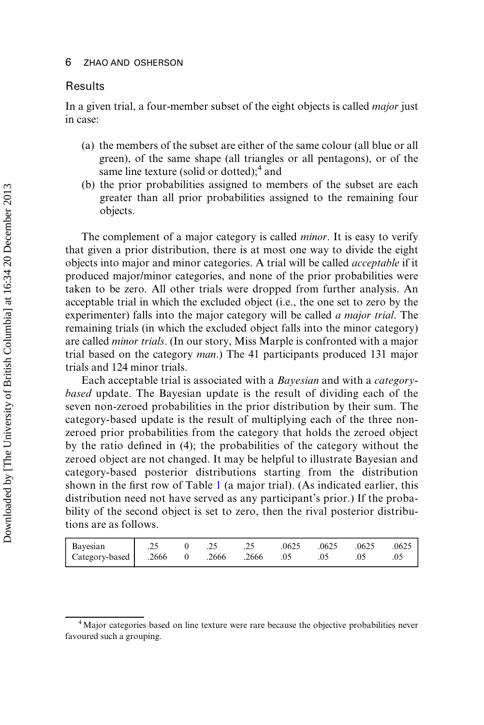#### Results

In a given trial, a four-member subset of the eight objects is called *major* just in case:

- (a) the members of the subset are either of the same colour (all blue or all green), of the same shape (all triangles or all pentagons), or of the same line texture (solid or dotted);<sup>4</sup> and
- (b) the prior probabilities assigned to members of the subset are each greater than all prior probabilities assigned to the remaining four objects.

The complement of a major category is called *minor*. It is easy to verify that given a prior distribution, there is at most one way to divide the eight objects into major and minor categories. A trial will be called acceptable if it produced major/minor categories, and none of the prior probabilities were taken to be zero. All other trials were dropped from further analysis. An acceptable trial in which the excluded object (i.e., the one set to zero by the experimenter) falls into the major category will be called *a major trial*. The remaining trials (in which the excluded object falls into the minor category) are called minor trials. (In our story, Miss Marple is confronted with a major trial based on the category man.) The 41 participants produced 131 major trials and 124 minor trials.

Each acceptable trial is associated with a Bayesian and with a categorybased update. The Bayesian update is the result of dividing each of the seven non-zeroed probabilities in the prior distribution by their sum. The category-based update is the result of multiplying each of the three nonzeroed prior probabilities from the category that holds the zeroed object by the ratio defined in (4); the probabilities of the category without the zeroed object are not changed. It may be helpful to illustrate Bayesian and category-based posterior distributions starting from the distribution shown in the first row of Table [1](#page-5-0) (a major trial). (As indicated earlier, this distribution need not have served as any participant's prior.) If the probability of the second object is set to zero, then the rival posterior distributions are as follows.

| Bayesian                                  | $.25 \t 0 \t .25$ |  |  | .25 .0625 .0625 .0625 | .0625 |
|-------------------------------------------|-------------------|--|--|-----------------------|-------|
| Category-based 2666 0 .2666 .2666 .05 .05 |                   |  |  | 05                    | 0.05  |

<sup>&</sup>lt;sup>4</sup> Major categories based on line texture were rare because the objective probabilities never favoured such a grouping.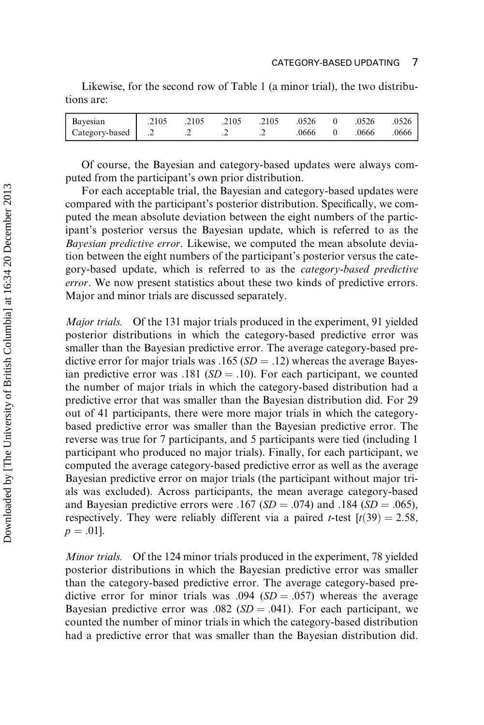Likewise, for the second row of Table [1](#page-5-0) (a minor trial), the two distributions are:

| Bayesian            | .2105 | .2105 | .2105 | .2105 | .0526 | .0526 | .0526 |
|---------------------|-------|-------|-------|-------|-------|-------|-------|
| 2. Category-based 2 |       |       | . .   | . .   | 0666  | .0666 | 0666  |

Of course, the Bayesian and category-based updates were always computed from the participant's own prior distribution.

For each acceptable trial, the Bayesian and category-based updates were compared with the participant's posterior distribution. Specifically, we computed the mean absolute deviation between the eight numbers of the participant's posterior versus the Bayesian update, which is referred to as the Bayesian predictive error. Likewise, we computed the mean absolute deviation between the eight numbers of the participant's posterior versus the category-based update, which is referred to as the category-based predictive error. We now present statistics about these two kinds of predictive errors. Major and minor trials are discussed separately.

Major trials. Of the 131 major trials produced in the experiment, 91 yielded posterior distributions in which the category-based predictive error was smaller than the Bayesian predictive error. The average category-based predictive error for major trials was  $.165$  (*SD* =  $.12$ ) whereas the average Bayesian predictive error was  $.181$  (SD =  $.10$ ). For each participant, we counted the number of major trials in which the category-based distribution had a predictive error that was smaller than the Bayesian distribution did. For 29 out of 41 participants, there were more major trials in which the categorybased predictive error was smaller than the Bayesian predictive error. The reverse was true for 7 participants, and 5 participants were tied (including 1 participant who produced no major trials). Finally, for each participant, we computed the average category-based predictive error as well as the average Bayesian predictive error on major trials (the participant without major trials was excluded). Across participants, the mean average category-based and Bayesian predictive errors were  $.167$  (SD = .074) and  $.184$  (SD = .065), respectively. They were reliably different via a paired *t*-test  $[t(39) = 2.58$ ,  $p = .01$ .

Minor trials. Of the 124 minor trials produced in the experiment, 78 yielded posterior distributions in which the Bayesian predictive error was smaller than the category-based predictive error. The average category-based predictive error for minor trials was  $.094$  ( $SD = .057$ ) whereas the average Bayesian predictive error was  $.082$  (SD =  $.041$ ). For each participant, we counted the number of minor trials in which the category-based distribution had a predictive error that was smaller than the Bayesian distribution did.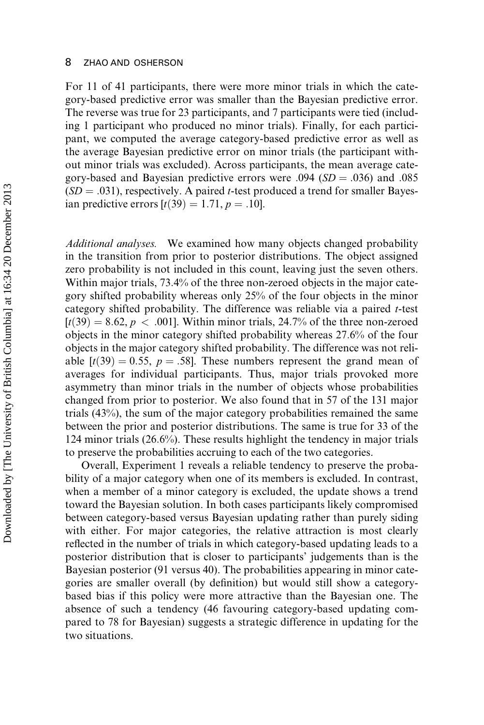For 11 of 41 participants, there were more minor trials in which the category-based predictive error was smaller than the Bayesian predictive error. The reverse was true for 23 participants, and 7 participants were tied (including 1 participant who produced no minor trials). Finally, for each participant, we computed the average category-based predictive error as well as the average Bayesian predictive error on minor trials (the participant without minor trials was excluded). Across participants, the mean average category-based and Bayesian predictive errors were  $.094$  ( $SD = .036$ ) and  $.085$  $(SD = .031)$ , respectively. A paired t-test produced a trend for smaller Bayesian predictive errors  $[t(39) = 1.71, p = .10]$ .

Additional analyses. We examined how many objects changed probability in the transition from prior to posterior distributions. The object assigned zero probability is not included in this count, leaving just the seven others. Within major trials, 73:4% of the three non-zeroed objects in the major category shifted probability whereas only 25% of the four objects in the minor category shifted probability. The difference was reliable via a paired  $t$ -test  $[t(39) = 8.62, p < .001]$ . Within minor trials, 24.7% of the three non-zeroed objects in the minor category shifted probability whereas 27:6% of the four objects in the major category shifted probability. The difference was not reliable  $[t(39) = 0.55, p = .58]$ . These numbers represent the grand mean of averages for individual participants. Thus, major trials provoked more asymmetry than minor trials in the number of objects whose probabilities changed from prior to posterior. We also found that in 57 of the 131 major trials (43%), the sum of the major category probabilities remained the same between the prior and posterior distributions. The same is true for 33 of the 124 minor trials (26:6%). These results highlight the tendency in major trials to preserve the probabilities accruing to each of the two categories.

Overall, Experiment 1 reveals a reliable tendency to preserve the probability of a major category when one of its members is excluded. In contrast, when a member of a minor category is excluded, the update shows a trend toward the Bayesian solution. In both cases participants likely compromised between category-based versus Bayesian updating rather than purely siding with either. For major categories, the relative attraction is most clearly reflected in the number of trials in which category-based updating leads to a posterior distribution that is closer to participants' judgements than is the Bayesian posterior (91 versus 40). The probabilities appearing in minor categories are smaller overall (by definition) but would still show a categorybased bias if this policy were more attractive than the Bayesian one. The absence of such a tendency (46 favouring category-based updating compared to 78 for Bayesian) suggests a strategic difference in updating for the two situations.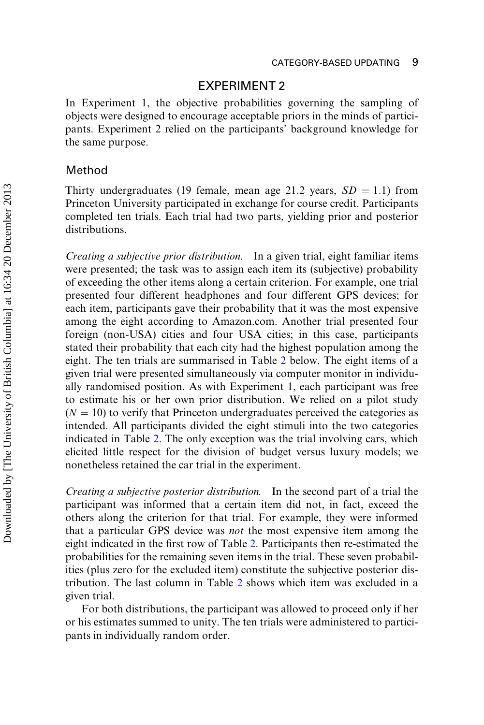## EXPERIMENT 2

In Experiment 1, the objective probabilities governing the sampling of objects were designed to encourage acceptable priors in the minds of participants. Experiment 2 relied on the participants' background knowledge for the same purpose.

## Method

Thirty undergraduates (19 female, mean age 21.2 years,  $SD = 1.1$ ) from Princeton University participated in exchange for course credit. Participants completed ten trials. Each trial had two parts, yielding prior and posterior distributions.

Creating a subjective prior distribution. In a given trial, eight familiar items were presented; the task was to assign each item its (subjective) probability of exceeding the other items along a certain criterion. For example, one trial presented four different headphones and four different GPS devices; for each item, participants gave their probability that it was the most expensive among the eight according to Amazon.com. Another trial presented four foreign (non-USA) cities and four USA cities; in this case, participants stated their probability that each city had the highest population among the eight. The ten trials are summarised in Table [2](#page-10-0) below. The eight items of a given trial were presented simultaneously via computer monitor in individually randomised position. As with Experiment 1, each participant was free to estimate his or her own prior distribution. We relied on a pilot study  $(N = 10)$  to verify that Princeton undergraduates perceived the categories as intended. All participants divided the eight stimuli into the two categories indicated in Table [2](#page-10-0). The only exception was the trial involving cars, which elicited little respect for the division of budget versus luxury models; we nonetheless retained the car trial in the experiment.

Creating a subjective posterior distribution. In the second part of a trial the participant was informed that a certain item did not, in fact, exceed the others along the criterion for that trial. For example, they were informed that a particular GPS device was not the most expensive item among the eight indicated in the first row of Table [2.](#page-10-0) Participants then re-estimated the probabilities for the remaining seven items in the trial. These seven probabilities (plus zero for the excluded item) constitute the subjective posterior distribution. The last column in Table [2](#page-10-0) shows which item was excluded in a given trial.

For both distributions, the participant was allowed to proceed only if her or his estimates summed to unity. The ten trials were administered to participants in individually random order.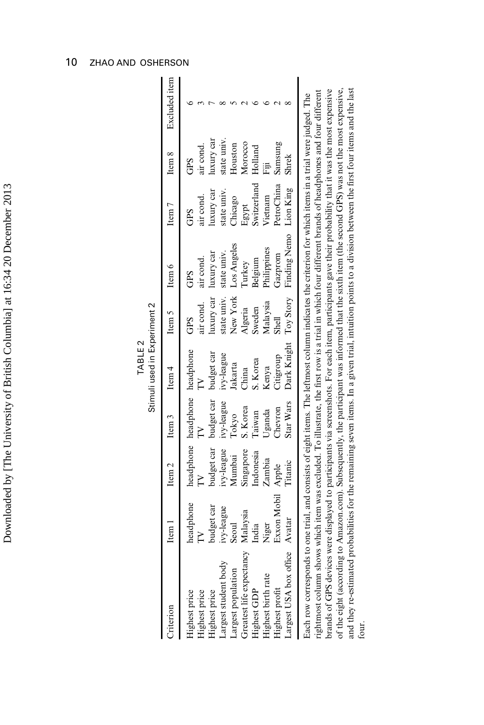<span id="page-10-0"></span>

|                                                                                                                                                                                                                                                                                                                                                                                                                                                                                                                                                                                                                                                                                                                                                                                                                |             |                   |                               | Stimuli used in Experiment 2 |             |                        |                   |             |               |
|----------------------------------------------------------------------------------------------------------------------------------------------------------------------------------------------------------------------------------------------------------------------------------------------------------------------------------------------------------------------------------------------------------------------------------------------------------------------------------------------------------------------------------------------------------------------------------------------------------------------------------------------------------------------------------------------------------------------------------------------------------------------------------------------------------------|-------------|-------------------|-------------------------------|------------------------------|-------------|------------------------|-------------------|-------------|---------------|
| Criterion                                                                                                                                                                                                                                                                                                                                                                                                                                                                                                                                                                                                                                                                                                                                                                                                      | Item 1      | Item <sub>2</sub> | Item <sub>3</sub>             | Item <sub>4</sub>            | Item 5      | Item $6$               | Item <sub>7</sub> | Item 8      | Excluded item |
| Highest price                                                                                                                                                                                                                                                                                                                                                                                                                                                                                                                                                                                                                                                                                                                                                                                                  | headphone   |                   | headphone headphone headphone |                              | GPS         | GPS                    | GPS               | GPS         |               |
| Highest price                                                                                                                                                                                                                                                                                                                                                                                                                                                                                                                                                                                                                                                                                                                                                                                                  |             |                   |                               |                              | air cond.   | air cond.              | air cond.         | air cond.   |               |
| Highest price                                                                                                                                                                                                                                                                                                                                                                                                                                                                                                                                                                                                                                                                                                                                                                                                  | budget car  | budget car        | budget car                    | budget car                   | luxury car  | luxury car             | luxury car        | luxury car  |               |
| Largest student body                                                                                                                                                                                                                                                                                                                                                                                                                                                                                                                                                                                                                                                                                                                                                                                           | ivy-league  | ivy-league        | ivy-league                    | ivy-league                   | state univ. | state univ.            | state univ.       | state univ. |               |
| Largest population                                                                                                                                                                                                                                                                                                                                                                                                                                                                                                                                                                                                                                                                                                                                                                                             | Seoul       | Mumbai            | <b>Lokyo</b>                  | <b>akarta</b>                |             | New York Los Angeles   | <b>Chicago</b>    | Houston     |               |
| Greatest life expectancy                                                                                                                                                                                                                                                                                                                                                                                                                                                                                                                                                                                                                                                                                                                                                                                       | Malaysia    | Singapore         | S. Korea                      | China                        | Algeria     | furkey                 | Egypt             | Morocco     |               |
| Highest GDP                                                                                                                                                                                                                                                                                                                                                                                                                                                                                                                                                                                                                                                                                                                                                                                                    | India       | Indonesia         | <b>Caiwan</b>                 | S. Korea                     | Sweden      | <b>Selgium</b>         | Switzerland       | Holland     |               |
| Highest birth rate                                                                                                                                                                                                                                                                                                                                                                                                                                                                                                                                                                                                                                                                                                                                                                                             | Niger       | Zambia            | Jganda                        | Kenya                        | Malaysia    | Philippines            | Vietnam           |             |               |
| Highest profit                                                                                                                                                                                                                                                                                                                                                                                                                                                                                                                                                                                                                                                                                                                                                                                                 | Exxon Mobil | Apple             | Chevron                       | divoration                   | Shell       | Gazprom                | PetroChina        | Samsung     |               |
| Largest USA box office                                                                                                                                                                                                                                                                                                                                                                                                                                                                                                                                                                                                                                                                                                                                                                                         | Avatar      | litanic           | Star Wars                     | Dark Knight Toy Story        |             | Finding Nemo Lion King |                   | Shrek       |               |
| brands of GPS devices were displayed to participants via screenshots. For each item, participants gave their probability that it was the most expensive<br>and they re-estimated probabilities for the remaining seven items. In a given trial, intuition points to a division between the first four items and the last<br>of the eight (according to Amazon.com). Subsequently, the participant was informed that the sixth item (the second GPS) was not the most expensive,<br>rightmost column shows which item was excluded. To illustrate, the first row is a trial in which four different brands of headphones and four different<br>Each row corresponds to one trial, and consists of eight items. The leftmost column indicates the criterion for which items in a trial were judged. The<br>four. |             |                   |                               |                              |             |                        |                   |             |               |

TABLE 2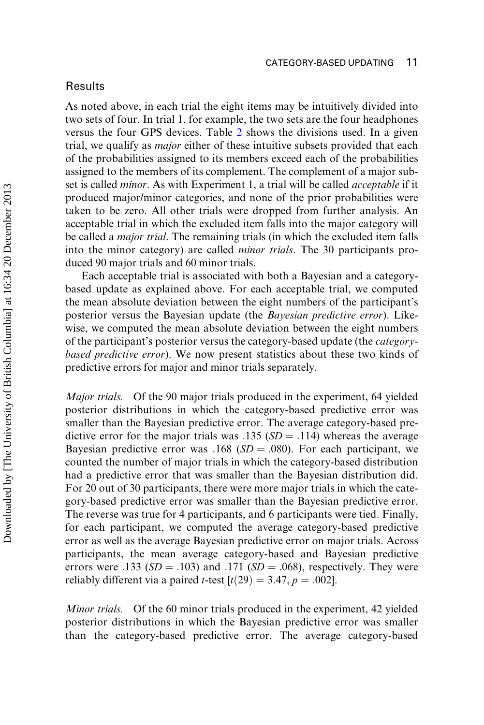#### **Results**

As noted above, in each trial the eight items may be intuitively divided into two sets of four. In trial 1, for example, the two sets are the four headphones versus the four GPS devices. Table [2](#page-10-0) shows the divisions used. In a given trial, we qualify as major either of these intuitive subsets provided that each of the probabilities assigned to its members exceed each of the probabilities assigned to the members of its complement. The complement of a major subset is called *minor*. As with Experiment 1, a trial will be called *acceptable* if it produced major/minor categories, and none of the prior probabilities were taken to be zero. All other trials were dropped from further analysis. An acceptable trial in which the excluded item falls into the major category will be called a major trial. The remaining trials (in which the excluded item falls into the minor category) are called minor trials. The 30 participants produced 90 major trials and 60 minor trials.

Each acceptable trial is associated with both a Bayesian and a categorybased update as explained above. For each acceptable trial, we computed the mean absolute deviation between the eight numbers of the participant's posterior versus the Bayesian update (the Bayesian predictive error). Likewise, we computed the mean absolute deviation between the eight numbers of the participant's posterior versus the category-based update (the categorybased predictive error). We now present statistics about these two kinds of predictive errors for major and minor trials separately.

Major trials. Of the 90 major trials produced in the experiment, 64 yielded posterior distributions in which the category-based predictive error was smaller than the Bayesian predictive error. The average category-based predictive error for the major trials was  $.135$  (SD =  $.114$ ) whereas the average Bayesian predictive error was  $.168$  (SD = .080). For each participant, we counted the number of major trials in which the category-based distribution had a predictive error that was smaller than the Bayesian distribution did. For 20 out of 30 participants, there were more major trials in which the category-based predictive error was smaller than the Bayesian predictive error. The reverse was true for 4 participants, and 6 participants were tied. Finally, for each participant, we computed the average category-based predictive error as well as the average Bayesian predictive error on major trials. Across participants, the mean average category-based and Bayesian predictive errors were  $.133$  (SD =  $.103$ ) and  $.171$  (SD =  $.068$ ), respectively. They were reliably different via a paired *t*-test  $[t(29) = 3.47, p = .002]$ .

Minor trials. Of the 60 minor trials produced in the experiment, 42 yielded posterior distributions in which the Bayesian predictive error was smaller than the category-based predictive error. The average category-based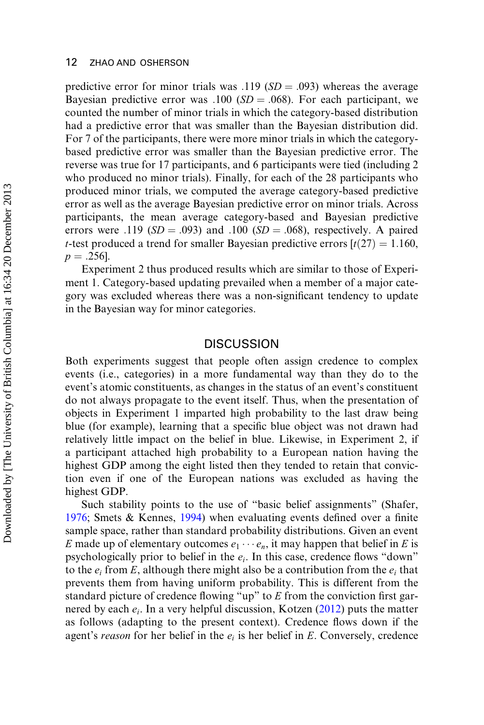predictive error for minor trials was  $.119$  ( $SD = .093$ ) whereas the average Bayesian predictive error was  $.100$  (SD =  $.068$ ). For each participant, we counted the number of minor trials in which the category-based distribution had a predictive error that was smaller than the Bayesian distribution did. For 7 of the participants, there were more minor trials in which the categorybased predictive error was smaller than the Bayesian predictive error. The reverse was true for 17 participants, and 6 participants were tied (including 2 who produced no minor trials). Finally, for each of the 28 participants who produced minor trials, we computed the average category-based predictive error as well as the average Bayesian predictive error on minor trials. Across participants, the mean average category-based and Bayesian predictive errors were .119 ( $SD = .093$ ) and  $.100$  ( $SD = .068$ ), respectively. A paired *t*-test produced a trend for smaller Bayesian predictive errors  $[t(27) = 1.160$ ,  $p = .256$ .

Experiment 2 thus produced results which are similar to those of Experiment 1. Category-based updating prevailed when a member of a major category was excluded whereas there was a non-significant tendency to update in the Bayesian way for minor categories.

## **DISCUSSION**

Both experiments suggest that people often assign credence to complex events (i.e., categories) in a more fundamental way than they do to the event's atomic constituents, as changes in the status of an event's constituent do not always propagate to the event itself. Thus, when the presentation of objects in Experiment 1 imparted high probability to the last draw being blue (for example), learning that a specific blue object was not drawn had relatively little impact on the belief in blue. Likewise, in Experiment 2, if a participant attached high probability to a European nation having the highest GDP among the eight listed then they tended to retain that conviction even if one of the European nations was excluded as having the highest GDP.

Such stability points to the use of "basic belief assignments" (Shafer, [1976;](#page-14-1) Smets & Kennes, [1994](#page-14-8)) when evaluating events defined over a finite sample space, rather than standard probability distributions. Given an event E made up of elementary outcomes  $e_1 \cdots e_n$ , it may happen that belief in E is psychologically prior to belief in the  $e_i$ . In this case, credence flows "down" to the  $e_i$  from E, although there might also be a contribution from the  $e_i$  that prevents them from having uniform probability. This is different from the standard picture of credence flowing "up" to E from the conviction first garnered by each  $e_i$ . In a very helpful discussion, Kotzen ([2012\)](#page-14-9) puts the matter as follows (adapting to the present context). Credence flows down if the agent's reason for her belief in the  $e_i$  is her belief in E. Conversely, credence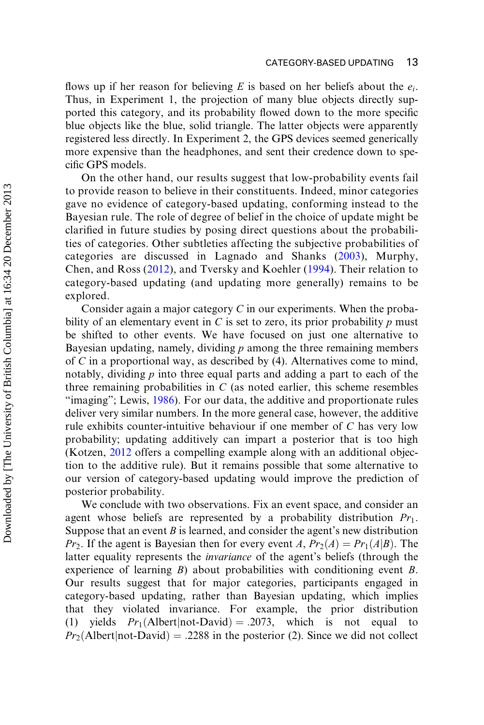flows up if her reason for believing E is based on her beliefs about the  $e_i$ . Thus, in Experiment 1, the projection of many blue objects directly supported this category, and its probability flowed down to the more specific blue objects like the blue, solid triangle. The latter objects were apparently registered less directly. In Experiment 2, the GPS devices seemed generically more expensive than the headphones, and sent their credence down to specific GPS models.

On the other hand, our results suggest that low-probability events fail to provide reason to believe in their constituents. Indeed, minor categories gave no evidence of category-based updating, conforming instead to the Bayesian rule. The role of degree of belief in the choice of update might be clarified in future studies by posing direct questions about the probabilities of categories. Other subtleties affecting the subjective probabilities of categories are discussed in Lagnado and Shanks [\(2003\)](#page-14-10), Murphy, Chen, and Ross ([2012](#page-14-11)), and Tversky and Koehler [\(1994\)](#page-15-1). Their relation to category-based updating (and updating more generally) remains to be explored.

Consider again a major category  $C$  in our experiments. When the probability of an elementary event in C is set to zero, its prior probability  $p$  must be shifted to other events. We have focused on just one alternative to Bayesian updating, namely, dividing  $p$  among the three remaining members of C in a proportional way, as described by (4). Alternatives come to mind, notably, dividing  $p$  into three equal parts and adding a part to each of the three remaining probabilities in  $C$  (as noted earlier, this scheme resembles "imaging"; Lewis, [1986](#page-14-3)). For our data, the additive and proportionate rules deliver very similar numbers. In the more general case, however, the additive rule exhibits counter-intuitive behaviour if one member of C has very low probability; updating additively can impart a posterior that is too high (Kotzen, [2012](#page-14-9) offers a compelling example along with an additional objection to the additive rule). But it remains possible that some alternative to our version of category-based updating would improve the prediction of posterior probability.

We conclude with two observations. Fix an event space, and consider an agent whose beliefs are represented by a probability distribution  $Pr_1$ . Suppose that an event  $B$  is learned, and consider the agent's new distribution  $Pr_2$ . If the agent is Bayesian then for every event A,  $Pr_2(A) = Pr_1(A|B)$ . The latter equality represents the invariance of the agent's beliefs (through the experience of learning B) about probabilities with conditioning event B. Our results suggest that for major categories, participants engaged in category-based updating, rather than Bayesian updating, which implies that they violated invariance. For example, the prior distribution (1) yields  $Pr_1(\text{Albert}|\text{not-David}) = .2073$ , which is not equal  $Pr_2$ (Albert|not-David) = .2288 in the posterior (2). Since we did not collect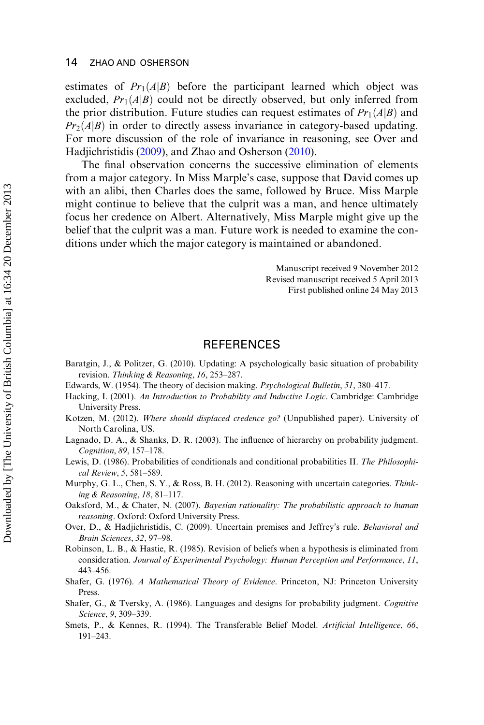estimates of  $Pr(A|B)$  before the participant learned which object was excluded,  $Pr_1(A|B)$  could not be directly observed, but only inferred from the prior distribution. Future studies can request estimates of  $Pr_1(A|B)$  and  $Pr<sub>2</sub>(A|B)$  in order to directly assess invariance in category-based updating. For more discussion of the role of invariance in reasoning, see Over and Hadjichristidis ([2009\)](#page-14-12), and Zhao and Osherson ([2010\)](#page-15-2).

The final observation concerns the successive elimination of elements from a major category. In Miss Marple's case, suppose that David comes up with an alibi, then Charles does the same, followed by Bruce. Miss Marple might continue to believe that the culprit was a man, and hence ultimately focus her credence on Albert. Alternatively, Miss Marple might give up the belief that the culprit was a man. Future work is needed to examine the conditions under which the major category is maintained or abandoned.

> Manuscript received 9 November 2012 Revised manuscript received 5 April 2013 First published online 24 May 2013

## REFERENCES

- <span id="page-14-4"></span>Baratgin, J., & Politzer, G. (2010). Updating: A psychologically basic situation of probability revision. Thinking & Reasoning, 16, 253–287.
- <span id="page-14-5"></span>Edwards, W. (1954). The theory of decision making. Psychological Bulletin, 51, 380–417.
- <span id="page-14-0"></span>Hacking, I. (2001). An Introduction to Probability and Inductive Logic. Cambridge: Cambridge University Press.
- <span id="page-14-9"></span>Kotzen, M. (2012). Where should displaced credence go? (Unpublished paper). University of North Carolina, US.
- <span id="page-14-10"></span>Lagnado, D. A., & Shanks, D. R. (2003). The influence of hierarchy on probability judgment. Cognition, 89, 157–178.
- <span id="page-14-3"></span>Lewis, D. (1986). Probabilities of conditionals and conditional probabilities II. The Philosophical Review, 5, 581–589.
- <span id="page-14-11"></span>Murphy, G. L., Chen, S. Y., & Ross, B. H. (2012). Reasoning with uncertain categories. Thinking & Reasoning, 18, 81–117.
- <span id="page-14-6"></span>Oaksford, M., & Chater, N. (2007). Bayesian rationality: The probabilistic approach to human reasoning. Oxford: Oxford University Press.
- <span id="page-14-12"></span>Over, D., & Hadjichristidis, C. (2009). Uncertain premises and Jeffrey's rule. Behavioral and Brain Sciences, 32, 97–98.
- <span id="page-14-7"></span>Robinson, L. B., & Hastie, R. (1985). Revision of beliefs when a hypothesis is eliminated from consideration. Journal of Experimental Psychology: Human Perception and Performance, 11, 443–456.
- <span id="page-14-1"></span>Shafer, G. (1976). A Mathematical Theory of Evidence. Princeton, NJ: Princeton University Press.
- <span id="page-14-2"></span>Shafer, G., & Tversky, A. (1986). Languages and designs for probability judgment. Cognitive Science, 9, 309–339.
- <span id="page-14-8"></span>Smets, P., & Kennes, R. (1994). The Transferable Belief Model. Artificial Intelligence, 66, 191–243.